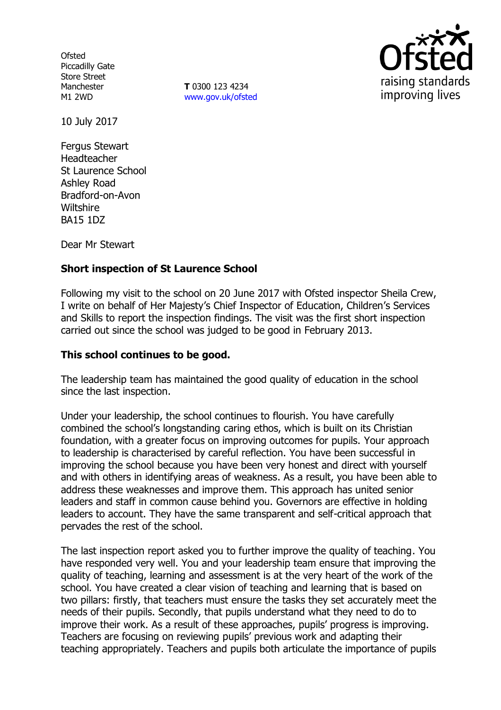**Ofsted** Piccadilly Gate Store Street Manchester M1 2WD

**T** 0300 123 4234 [www.gov.uk/ofsted](http://www.gov.uk/ofsted)



10 July 2017

Fergus Stewart Headteacher St Laurence School Ashley Road Bradford-on-Avon **Wiltshire** BA15 1DZ

Dear Mr Stewart

# **Short inspection of St Laurence School**

Following my visit to the school on 20 June 2017 with Ofsted inspector Sheila Crew, I write on behalf of Her Majesty's Chief Inspector of Education, Children's Services and Skills to report the inspection findings. The visit was the first short inspection carried out since the school was judged to be good in February 2013.

#### **This school continues to be good.**

The leadership team has maintained the good quality of education in the school since the last inspection.

Under your leadership, the school continues to flourish. You have carefully combined the school's longstanding caring ethos, which is built on its Christian foundation, with a greater focus on improving outcomes for pupils. Your approach to leadership is characterised by careful reflection. You have been successful in improving the school because you have been very honest and direct with yourself and with others in identifying areas of weakness. As a result, you have been able to address these weaknesses and improve them. This approach has united senior leaders and staff in common cause behind you. Governors are effective in holding leaders to account. They have the same transparent and self-critical approach that pervades the rest of the school.

The last inspection report asked you to further improve the quality of teaching. You have responded very well. You and your leadership team ensure that improving the quality of teaching, learning and assessment is at the very heart of the work of the school. You have created a clear vision of teaching and learning that is based on two pillars: firstly, that teachers must ensure the tasks they set accurately meet the needs of their pupils. Secondly, that pupils understand what they need to do to improve their work. As a result of these approaches, pupils' progress is improving. Teachers are focusing on reviewing pupils' previous work and adapting their teaching appropriately. Teachers and pupils both articulate the importance of pupils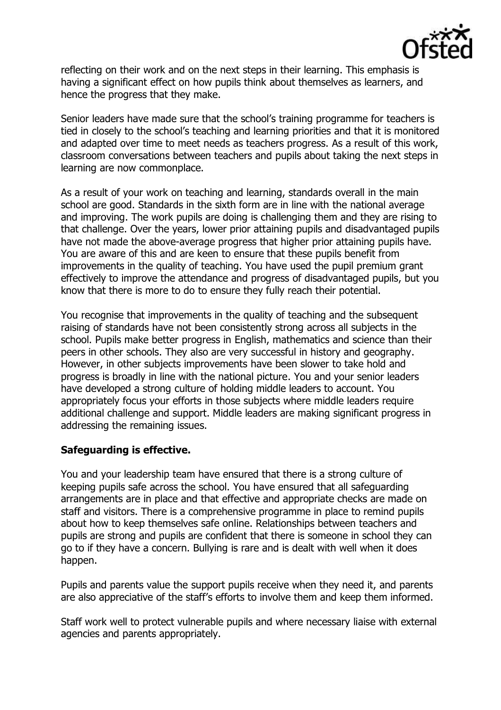

reflecting on their work and on the next steps in their learning. This emphasis is having a significant effect on how pupils think about themselves as learners, and hence the progress that they make.

Senior leaders have made sure that the school's training programme for teachers is tied in closely to the school's teaching and learning priorities and that it is monitored and adapted over time to meet needs as teachers progress. As a result of this work, classroom conversations between teachers and pupils about taking the next steps in learning are now commonplace.

As a result of your work on teaching and learning, standards overall in the main school are good. Standards in the sixth form are in line with the national average and improving. The work pupils are doing is challenging them and they are rising to that challenge. Over the years, lower prior attaining pupils and disadvantaged pupils have not made the above-average progress that higher prior attaining pupils have. You are aware of this and are keen to ensure that these pupils benefit from improvements in the quality of teaching. You have used the pupil premium grant effectively to improve the attendance and progress of disadvantaged pupils, but you know that there is more to do to ensure they fully reach their potential.

You recognise that improvements in the quality of teaching and the subsequent raising of standards have not been consistently strong across all subjects in the school. Pupils make better progress in English, mathematics and science than their peers in other schools. They also are very successful in history and geography. However, in other subjects improvements have been slower to take hold and progress is broadly in line with the national picture. You and your senior leaders have developed a strong culture of holding middle leaders to account. You appropriately focus your efforts in those subjects where middle leaders require additional challenge and support. Middle leaders are making significant progress in addressing the remaining issues.

### **Safeguarding is effective.**

You and your leadership team have ensured that there is a strong culture of keeping pupils safe across the school. You have ensured that all safeguarding arrangements are in place and that effective and appropriate checks are made on staff and visitors. There is a comprehensive programme in place to remind pupils about how to keep themselves safe online. Relationships between teachers and pupils are strong and pupils are confident that there is someone in school they can go to if they have a concern. Bullying is rare and is dealt with well when it does happen.

Pupils and parents value the support pupils receive when they need it, and parents are also appreciative of the staff's efforts to involve them and keep them informed.

Staff work well to protect vulnerable pupils and where necessary liaise with external agencies and parents appropriately.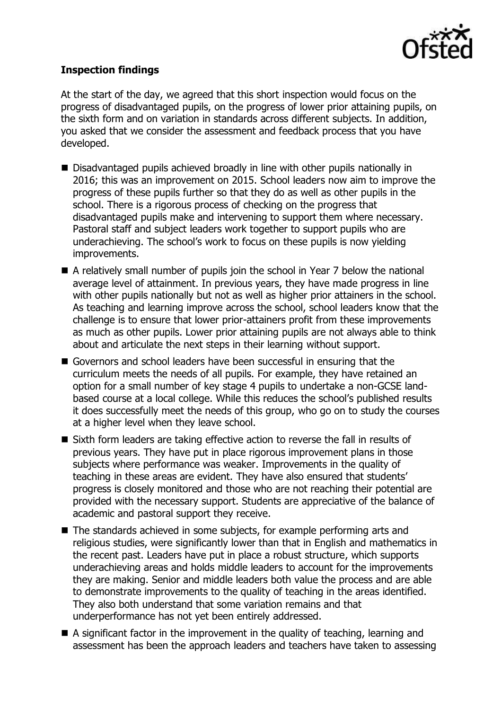

# **Inspection findings**

At the start of the day, we agreed that this short inspection would focus on the progress of disadvantaged pupils, on the progress of lower prior attaining pupils, on the sixth form and on variation in standards across different subjects. In addition, you asked that we consider the assessment and feedback process that you have developed.

- Disadvantaged pupils achieved broadly in line with other pupils nationally in 2016; this was an improvement on 2015. School leaders now aim to improve the progress of these pupils further so that they do as well as other pupils in the school. There is a rigorous process of checking on the progress that disadvantaged pupils make and intervening to support them where necessary. Pastoral staff and subject leaders work together to support pupils who are underachieving. The school's work to focus on these pupils is now yielding improvements.
- A relatively small number of pupils join the school in Year 7 below the national average level of attainment. In previous years, they have made progress in line with other pupils nationally but not as well as higher prior attainers in the school. As teaching and learning improve across the school, school leaders know that the challenge is to ensure that lower prior-attainers profit from these improvements as much as other pupils. Lower prior attaining pupils are not always able to think about and articulate the next steps in their learning without support.
- Governors and school leaders have been successful in ensuring that the curriculum meets the needs of all pupils. For example, they have retained an option for a small number of key stage 4 pupils to undertake a non-GCSE landbased course at a local college. While this reduces the school's published results it does successfully meet the needs of this group, who go on to study the courses at a higher level when they leave school.
- Sixth form leaders are taking effective action to reverse the fall in results of previous years. They have put in place rigorous improvement plans in those subjects where performance was weaker. Improvements in the quality of teaching in these areas are evident. They have also ensured that students' progress is closely monitored and those who are not reaching their potential are provided with the necessary support. Students are appreciative of the balance of academic and pastoral support they receive.
- The standards achieved in some subjects, for example performing arts and religious studies, were significantly lower than that in English and mathematics in the recent past. Leaders have put in place a robust structure, which supports underachieving areas and holds middle leaders to account for the improvements they are making. Senior and middle leaders both value the process and are able to demonstrate improvements to the quality of teaching in the areas identified. They also both understand that some variation remains and that underperformance has not yet been entirely addressed.
- $\blacksquare$  A significant factor in the improvement in the quality of teaching, learning and assessment has been the approach leaders and teachers have taken to assessing